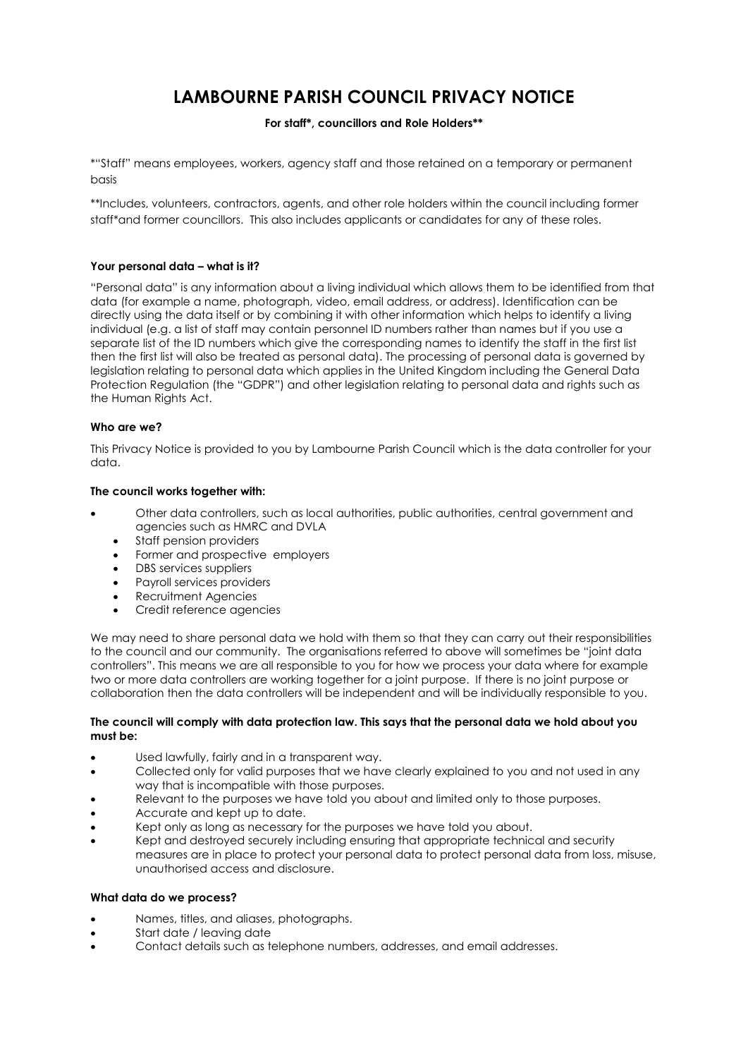# **LAMBOURNE PARISH COUNCIL PRIVACY NOTICE**

# **For staff\*, councillors and Role Holders\*\***

\*"Staff" means employees, workers, agency staff and those retained on a temporary or permanent basis

\*\*Includes, volunteers, contractors, agents, and other role holders within the council including former staff\*and former councillors. This also includes applicants or candidates for any of these roles.

# **Your personal data – what is it?**

"Personal data" is any information about a living individual which allows them to be identified from that data (for example a name, photograph, video, email address, or address). Identification can be directly using the data itself or by combining it with other information which helps to identify a living individual (e.g. a list of staff may contain personnel ID numbers rather than names but if you use a separate list of the ID numbers which give the corresponding names to identify the staff in the first list then the first list will also be treated as personal data). The processing of personal data is governed by legislation relating to personal data which applies in the United Kingdom including the General Data Protection Regulation (the "GDPR") and other legislation relating to personal data and rights such as the Human Rights Act.

# **Who are we?**

This Privacy Notice is provided to you by Lambourne Parish Council which is the data controller for your data.

# **The council works together with:**

- Other data controllers, such as local authorities, public authorities, central government and agencies such as HMRC and DVLA
	- Staff pension providers
	- Former and prospective employers
	- DBS services suppliers
	- Payroll services providers
	- Recruitment Agencies
	- Credit reference agencies

We may need to share personal data we hold with them so that they can carry out their responsibilities to the council and our community. The organisations referred to above will sometimes be "joint data controllers". This means we are all responsible to you for how we process your data where for example two or more data controllers are working together for a joint purpose. If there is no joint purpose or collaboration then the data controllers will be independent and will be individually responsible to you.

# **The council will comply with data protection law. This says that the personal data we hold about you must be:**

- Used lawfully, fairly and in a transparent way.
- Collected only for valid purposes that we have clearly explained to you and not used in any way that is incompatible with those purposes.
- Relevant to the purposes we have told you about and limited only to those purposes.
- Accurate and kept up to date.
- Kept only as long as necessary for the purposes we have told you about.
- Kept and destroyed securely including ensuring that appropriate technical and security measures are in place to protect your personal data to protect personal data from loss, misuse, unauthorised access and disclosure.

# **What data do we process?**

- Names, titles, and aliases, photographs.
- Start date / leaving date
- Contact details such as telephone numbers, addresses, and email addresses.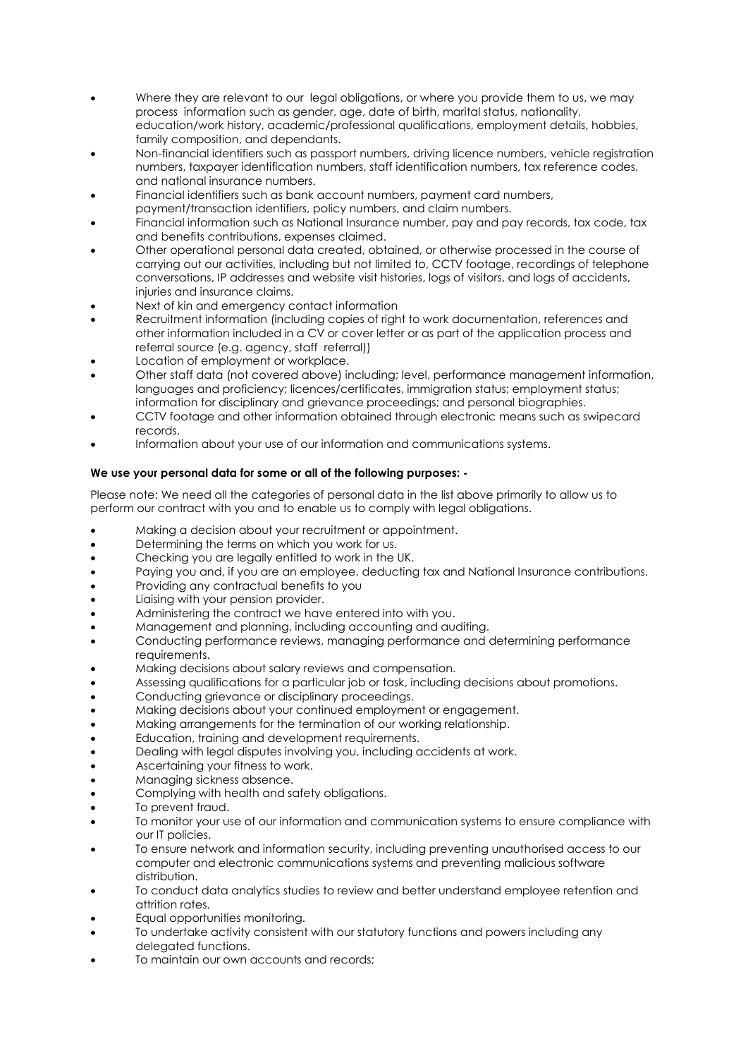- Where they are relevant to our legal obligations, or where you provide them to us, we may process information such as gender, age, date of birth, marital status, nationality, education/work history, academic/professional qualifications, employment details, hobbies, family composition, and dependants.
- Non-financial identifiers such as passport numbers, driving licence numbers, vehicle registration numbers, taxpayer identification numbers, staff identification numbers, tax reference codes, and national insurance numbers.
- Financial identifiers such as bank account numbers, payment card numbers,
- payment/transaction identifiers, policy numbers, and claim numbers.
- Financial information such as National Insurance number, pay and pay records, tax code, tax and benefits contributions, expenses claimed.
- Other operational personal data created, obtained, or otherwise processed in the course of carrying out our activities, including but not limited to, CCTV footage, recordings of telephone conversations, IP addresses and website visit histories, logs of visitors, and logs of accidents, injuries and insurance claims.
- Next of kin and emergency contact information
- Recruitment information (including copies of right to work documentation, references and other information included in a CV or cover letter or as part of the application process and referral source (e.g. agency, staff referral))
- Location of employment or workplace.
- Other staff data (not covered above) including; level, performance management information, languages and proficiency; licences/certificates, immigration status; employment status; information for disciplinary and grievance proceedings; and personal biographies.
- CCTV footage and other information obtained through electronic means such as swipecard records.
- Information about your use of our information and communications systems.

# **We use your personal data for some or all of the following purposes: -**

Please note: We need all the categories of personal data in the list above primarily to allow us to perform our contract with you and to enable us to comply with legal obligations.

- Making a decision about your recruitment or appointment.
- **•** Determining the terms on which you work for us.
- Checking you are legally entitled to work in the UK.
- Paying you and, if you are an employee, deducting tax and National Insurance contributions.
- Providing any contractual benefits to you
- Liaising with your pension provider.
- Administering the contract we have entered into with you.
- Management and planning, including accounting and auditing.
- Conducting performance reviews, managing performance and determining performance requirements.
- Making decisions about salary reviews and compensation.
- Assessing qualifications for a particular job or task, including decisions about promotions.
- Conducting grievance or disciplinary proceedings.
- Making decisions about your continued employment or engagement.
- Making arrangements for the termination of our working relationship.
- Education, training and development requirements.
- Dealing with legal disputes involving you, including accidents at work.
- Ascertaining your fitness to work.
- Managing sickness absence.
- Complying with health and safety obligations.
- To prevent fraud.
- To monitor your use of our information and communication systems to ensure compliance with our IT policies.
- To ensure network and information security, including preventing unauthorised access to our computer and electronic communications systems and preventing malicious software distribution.
- To conduct data analytics studies to review and better understand employee retention and attrition rates.
- Equal opportunities monitoring.
- To undertake activity consistent with our statutory functions and powers including any delegated functions.
- To maintain our own accounts and records;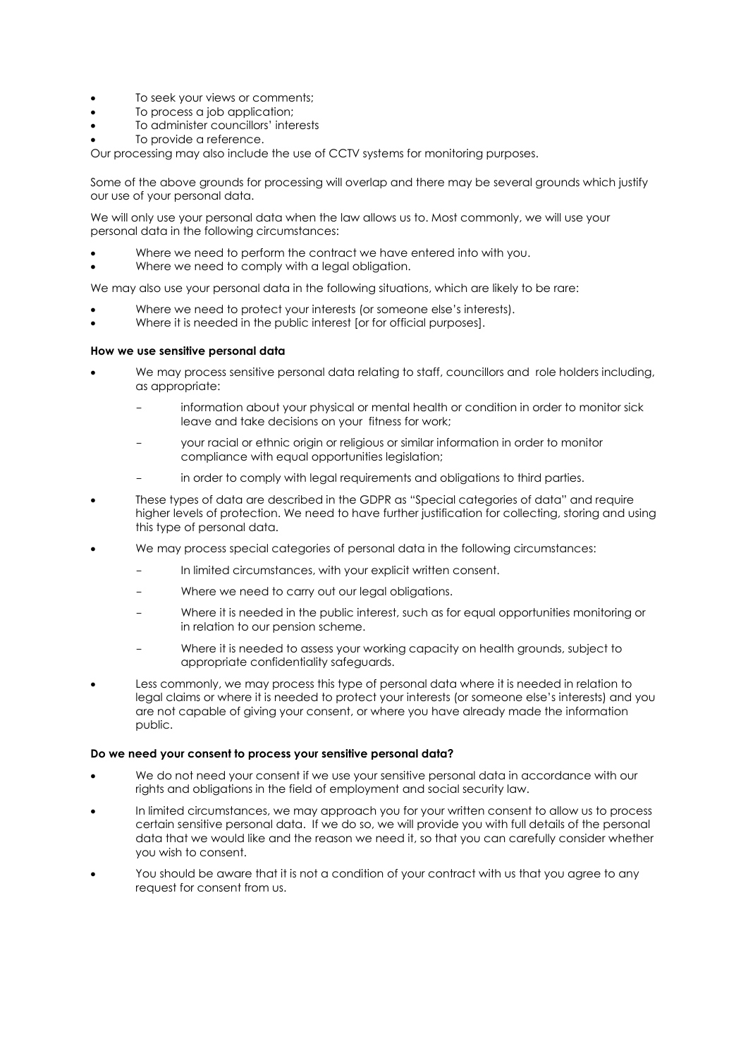- To seek your views or comments;
- To process a job application;
- To administer councillors' interests
- To provide a reference.

Our processing may also include the use of CCTV systems for monitoring purposes.

Some of the above grounds for processing will overlap and there may be several grounds which justify our use of your personal data.

We will only use your personal data when the law allows us to. Most commonly, we will use your personal data in the following circumstances:

- Where we need to perform the contract we have entered into with you.
- Where we need to comply with a legal obligation.

We may also use your personal data in the following situations, which are likely to be rare:

- Where we need to protect your interests (or someone else's interests).
- Where it is needed in the public interest [or for official purposes].

#### **How we use sensitive personal data**

- We may process sensitive personal data relating to staff, councillors and role holders including, as appropriate:
	- information about your physical or mental health or condition in order to monitor sick leave and take decisions on your fitness for work;
	- your racial or ethnic origin or religious or similar information in order to monitor compliance with equal opportunities legislation;
	- in order to comply with legal requirements and obligations to third parties.
- These types of data are described in the GDPR as "Special categories of data" and require higher levels of protection. We need to have further justification for collecting, storing and using this type of personal data.
- We may process special categories of personal data in the following circumstances:
	- In limited circumstances, with your explicit written consent.
	- Where we need to carry out our legal obligations.
	- Where it is needed in the public interest, such as for equal opportunities monitoring or in relation to our pension scheme.
	- Where it is needed to assess your working capacity on health grounds, subject to appropriate confidentiality safeguards.
- Less commonly, we may process this type of personal data where it is needed in relation to legal claims or where it is needed to protect your interests (or someone else's interests) and you are not capable of giving your consent, or where you have already made the information public.

#### **Do we need your consent to process your sensitive personal data?**

- We do not need your consent if we use your sensitive personal data in accordance with our rights and obligations in the field of employment and social security law.
- In limited circumstances, we may approach you for your written consent to allow us to process certain sensitive personal data. If we do so, we will provide you with full details of the personal data that we would like and the reason we need it, so that you can carefully consider whether you wish to consent.
- You should be aware that it is not a condition of your contract with us that you agree to any request for consent from us.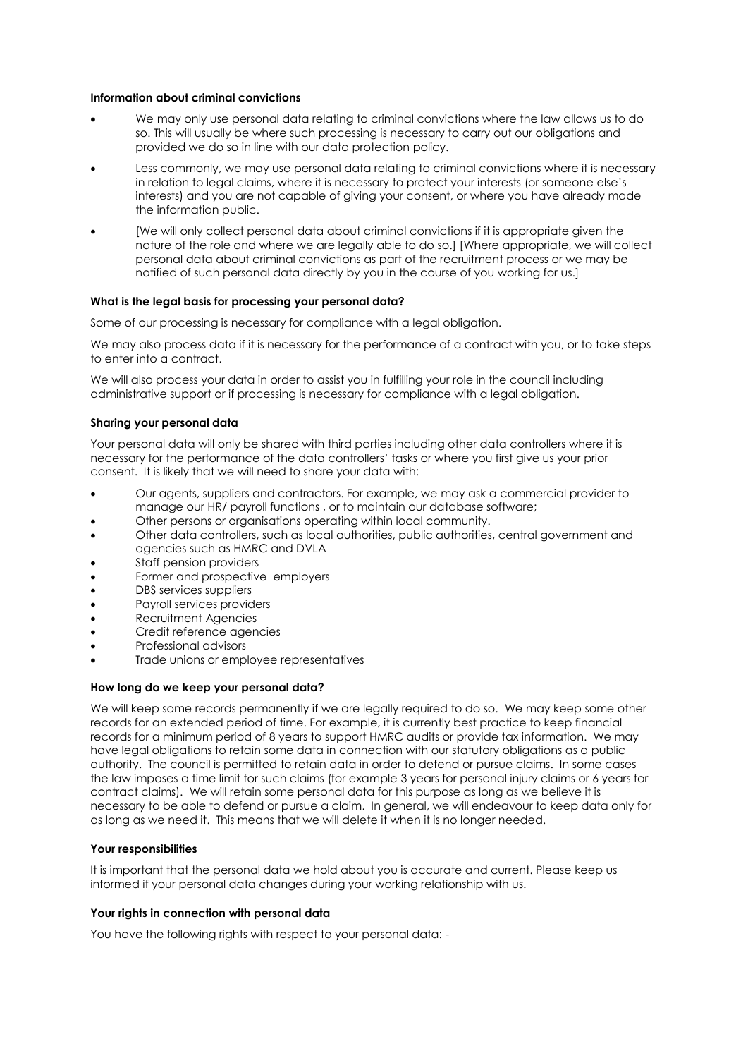### **Information about criminal convictions**

- We may only use personal data relating to criminal convictions where the law allows us to do so. This will usually be where such processing is necessary to carry out our obligations and provided we do so in line with our data protection policy.
- Less commonly, we may use personal data relating to criminal convictions where it is necessary in relation to legal claims, where it is necessary to protect your interests (or someone else's interests) and you are not capable of giving your consent, or where you have already made the information public.
- [We will only collect personal data about criminal convictions if it is appropriate given the nature of the role and where we are legally able to do so.] [Where appropriate, we will collect personal data about criminal convictions as part of the recruitment process or we may be notified of such personal data directly by you in the course of you working for us.]

# **What is the legal basis for processing your personal data?**

Some of our processing is necessary for compliance with a legal obligation.

We may also process data if it is necessary for the performance of a contract with you, or to take steps to enter into a contract.

We will also process your data in order to assist you in fulfilling your role in the council including administrative support or if processing is necessary for compliance with a legal obligation.

#### **Sharing your personal data**

Your personal data will only be shared with third parties including other data controllers where it is necessary for the performance of the data controllers' tasks or where you first give us your prior consent. It is likely that we will need to share your data with:

- Our agents, suppliers and contractors. For example, we may ask a commercial provider to manage our HR/ payroll functions , or to maintain our database software;
- Other persons or organisations operating within local community.
- Other data controllers, such as local authorities, public authorities, central government and agencies such as HMRC and DVLA
- Staff pension providers
- Former and prospective employers
- DBS services suppliers
- Payroll services providers
- Recruitment Agencies
- Credit reference agencies
- Professional advisors
- Trade unions or employee representatives

#### **How long do we keep your personal data?**

We will keep some records permanently if we are legally required to do so. We may keep some other records for an extended period of time. For example, it is currently best practice to keep financial records for a minimum period of 8 years to support HMRC audits or provide tax information. We may have legal obligations to retain some data in connection with our statutory obligations as a public authority. The council is permitted to retain data in order to defend or pursue claims. In some cases the law imposes a time limit for such claims (for example 3 years for personal injury claims or 6 years for contract claims). We will retain some personal data for this purpose as long as we believe it is necessary to be able to defend or pursue a claim. In general, we will endeavour to keep data only for as long as we need it. This means that we will delete it when it is no longer needed.

# **Your responsibilities**

It is important that the personal data we hold about you is accurate and current. Please keep us informed if your personal data changes during your working relationship with us.

# **Your rights in connection with personal data**

You have the following rights with respect to your personal data: -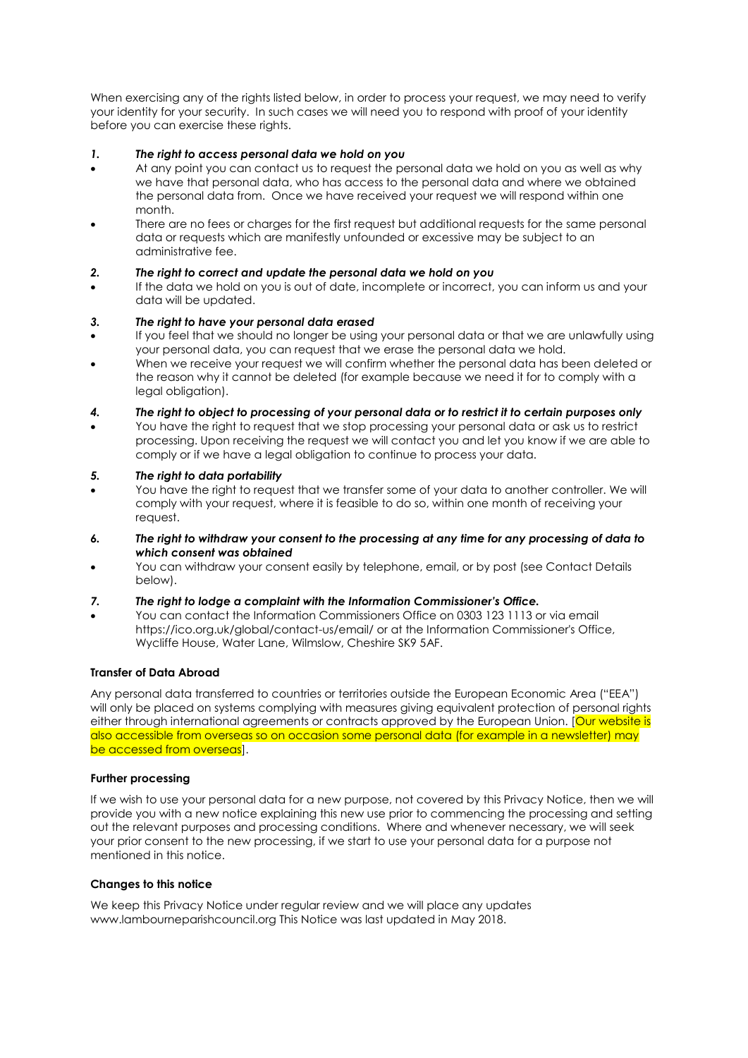When exercising any of the rights listed below, in order to process your request, we may need to verify your identity for your security. In such cases we will need you to respond with proof of your identity before you can exercise these rights.

# *1. The right to access personal data we hold on you*

- At any point you can contact us to request the personal data we hold on you as well as why we have that personal data, who has access to the personal data and where we obtained the personal data from. Once we have received your request we will respond within one month.
- There are no fees or charges for the first request but additional requests for the same personal data or requests which are manifestly unfounded or excessive may be subject to an administrative fee.

# *2. The right to correct and update the personal data we hold on you*

 If the data we hold on you is out of date, incomplete or incorrect, you can inform us and your data will be updated.

# *3. The right to have your personal data erased*

- If you feel that we should no longer be using your personal data or that we are unlawfully using your personal data, you can request that we erase the personal data we hold.
- When we receive your request we will confirm whether the personal data has been deleted or the reason why it cannot be deleted (for example because we need it for to comply with a legal obligation).
- *4. The right to object to processing of your personal data or to restrict it to certain purposes only*
- You have the right to request that we stop processing your personal data or ask us to restrict processing. Upon receiving the request we will contact you and let you know if we are able to comply or if we have a legal obligation to continue to process your data.

# *5. The right to data portability*

- You have the right to request that we transfer some of your data to another controller. We will comply with your request, where it is feasible to do so, within one month of receiving your request.
- *6. The right to withdraw your consent to the processing at any time for any processing of data to which consent was obtained*
- You can withdraw your consent easily by telephone, email, or by post (see Contact Details below).

# *7. The right to lodge a complaint with the Information Commissioner's Office.*

 You can contact the Information Commissioners Office on 0303 123 1113 or via email https://ico.org.uk/global/contact-us/email/ or at the Information Commissioner's Office, Wycliffe House, Water Lane, Wilmslow, Cheshire SK9 5AF.

# **Transfer of Data Abroad**

Any personal data transferred to countries or territories outside the European Economic Area ("EEA") will only be placed on systems complying with measures giving equivalent protection of personal rights either through international agreements or contracts approved by the European Union. [Our website is also accessible from overseas so on occasion some personal data (for example in a newsletter) may be accessed from overseas].

# **Further processing**

If we wish to use your personal data for a new purpose, not covered by this Privacy Notice, then we will provide you with a new notice explaining this new use prior to commencing the processing and setting out the relevant purposes and processing conditions. Where and whenever necessary, we will seek your prior consent to the new processing, if we start to use your personal data for a purpose not mentioned in this notice.

# **Changes to this notice**

We keep this Privacy Notice under regular review and we will place any updates www.lambourneparishcouncil.org This Notice was last updated in May 2018.